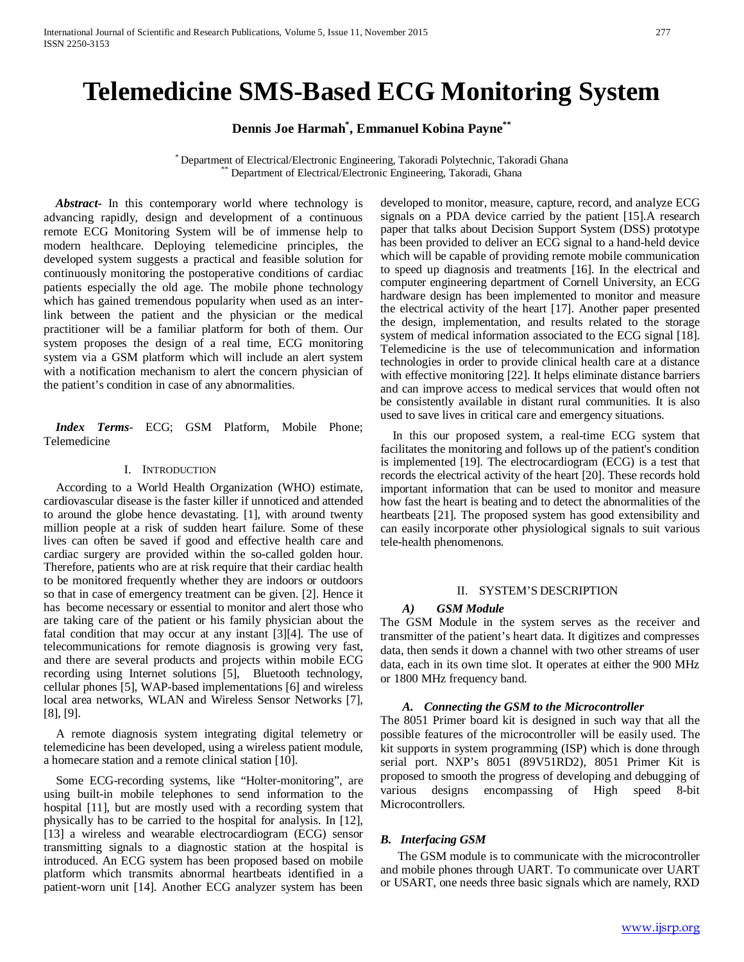# **Telemedicine SMS-Based ECG Monitoring System**

**Dennis Joe Harmah\* , Emmanuel Kobina Payne\*\***

\* Department of Electrical/Electronic Engineering, Takoradi Polytechnic, Takoradi Ghana \*\* Department of Electrical/Electronic Engineering, Takoradi, Ghana

 *Abstract***-** In this contemporary world where technology is advancing rapidly, design and development of a continuous remote ECG Monitoring System will be of immense help to modern healthcare. Deploying telemedicine principles, the developed system suggests a practical and feasible solution for continuously monitoring the postoperative conditions of cardiac patients especially the old age. The mobile phone technology which has gained tremendous popularity when used as an interlink between the patient and the physician or the medical practitioner will be a familiar platform for both of them. Our system proposes the design of a real time, ECG monitoring system via a GSM platform which will include an alert system with a notification mechanism to alert the concern physician of the patient's condition in case of any abnormalities.

 *Index Terms*- ECG; GSM Platform, Mobile Phone; Telemedicine

## I. INTRODUCTION

According to a World Health Organization (WHO) estimate, cardiovascular disease is the faster killer if unnoticed and attended to around the globe hence devastating. [1], with around twenty million people at a risk of sudden heart failure. Some of these lives can often be saved if good and effective health care and cardiac surgery are provided within the so-called golden hour. Therefore, patients who are at risk require that their cardiac health to be monitored frequently whether they are indoors or outdoors so that in case of emergency treatment can be given. [2]. Hence it has become necessary or essential to monitor and alert those who are taking care of the patient or his family physician about the fatal condition that may occur at any instant [3][4]. The use of telecommunications for remote diagnosis is growing very fast, and there are several products and projects within mobile ECG recording using Internet solutions [5], Bluetooth technology, cellular phones [5], WAP-based implementations [6] and wireless local area networks, WLAN and Wireless Sensor Networks [7], [8], [9].

A remote diagnosis system integrating digital telemetry or telemedicine has been developed, using a wireless patient module, a homecare station and a remote clinical station [10].

Some ECG-recording systems, like "Holter-monitoring", are using built-in mobile telephones to send information to the hospital [11], but are mostly used with a recording system that physically has to be carried to the hospital for analysis. In [12], [13] a wireless and wearable electrocardiogram (ECG) sensor transmitting signals to a diagnostic station at the hospital is introduced. An ECG system has been proposed based on mobile platform which transmits abnormal heartbeats identified in a patient-worn unit [14]. Another ECG analyzer system has been

developed to monitor, measure, capture, record, and analyze ECG signals on a PDA device carried by the patient [15].A research paper that talks about Decision Support System (DSS) prototype has been provided to deliver an ECG signal to a hand-held device which will be capable of providing remote mobile communication to speed up diagnosis and treatments [16]. In the electrical and computer engineering department of Cornell University, an ECG hardware design has been implemented to monitor and measure the electrical activity of the heart [17]. Another paper presented the design, implementation, and results related to the storage system of medical information associated to the ECG signal [18]. Telemedicine is the use of telecommunication and information technologies in order to provide clinical health care at a distance with effective monitoring [22]. It helps eliminate distance barriers and can improve access to medical services that would often not be consistently available in distant rural communities. It is also used to save lives in critical care and emergency situations.

In this our proposed system, a real-time ECG system that facilitates the monitoring and follows up of the patient's condition is implemented [19]. The electrocardiogram (ECG) is a test that records the electrical activity of the heart [20]. These records hold important information that can be used to monitor and measure how fast the heart is beating and to detect the abnormalities of the heartbeats [21]. The proposed system has good extensibility and can easily incorporate other physiological signals to suit various tele-health phenomenons.

#### II. SYSTEM'S DESCRIPTION

#### *A) GSM Module*

The GSM Module in the system serves as the receiver and transmitter of the patient's heart data. It digitizes and compresses data, then sends it down a channel with two other streams of user data, each in its own time slot. It operates at either the 900 MHz or 1800 MHz frequency band.

#### *A. Connecting the GSM to the Microcontroller*

The 8051 Primer board kit is designed in such way that all the possible features of the microcontroller will be easily used. The kit supports in system programming (ISP) which is done through serial port. NXP's 8051 (89V51RD2), 8051 Primer Kit is proposed to smooth the progress of developing and debugging of various designs encompassing of High speed 8-bit Microcontrollers.

# *B. Interfacing GSM*

The GSM module is to communicate with the microcontroller and mobile phones through UART. To communicate over UART or USART, one needs three basic signals which are namely, RXD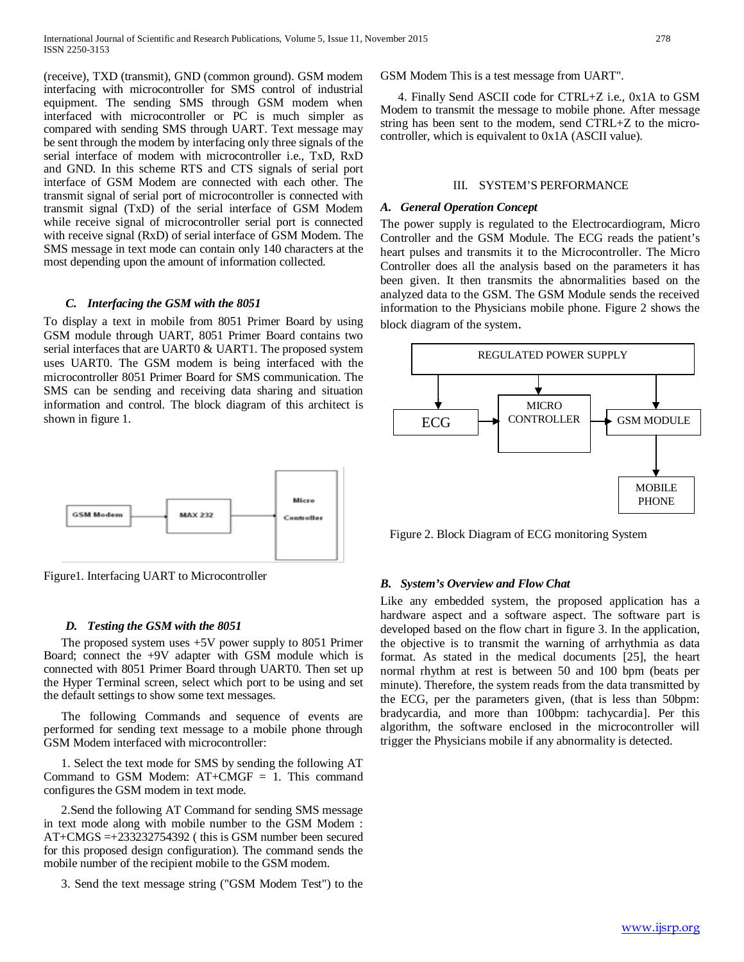(receive), TXD (transmit), GND (common ground). GSM modem interfacing with microcontroller for SMS control of industrial equipment. The sending SMS through GSM modem when interfaced with microcontroller or PC is much simpler as compared with sending SMS through UART. Text message may be sent through the modem by interfacing only three signals of the serial interface of modem with microcontroller i.e., TxD, RxD and GND. In this scheme RTS and CTS signals of serial port interface of GSM Modem are connected with each other. The transmit signal of serial port of microcontroller is connected with transmit signal (TxD) of the serial interface of GSM Modem while receive signal of microcontroller serial port is connected with receive signal (RxD) of serial interface of GSM Modem. The SMS message in text mode can contain only 140 characters at the most depending upon the amount of information collected.

## *C. Interfacing the GSM with the 8051*

To display a text in mobile from 8051 Primer Board by using GSM module through UART, 8051 Primer Board contains two serial interfaces that are UART0 & UART1. The proposed system uses UART0. The GSM modem is being interfaced with the microcontroller 8051 Primer Board for SMS communication. The SMS can be sending and receiving data sharing and situation information and control. The block diagram of this architect is shown in figure 1.



Figure1. Interfacing UART to Microcontroller

#### *D. Testing the GSM with the 8051*

The proposed system uses +5V power supply to 8051 Primer Board; connect the +9V adapter with GSM module which is connected with 8051 Primer Board through UART0. Then set up the Hyper Terminal screen, select which port to be using and set the default settings to show some text messages.

The following Commands and sequence of events are performed for sending text message to a mobile phone through GSM Modem interfaced with microcontroller:

1. Select the text mode for SMS by sending the following AT Command to GSM Modem:  $AT+CMGF = 1$ . This command configures the GSM modem in text mode.

2.Send the following AT Command for sending SMS message in text mode along with mobile number to the GSM Modem : AT+CMGS =+233232754392 ( this is GSM number been secured for this proposed design configuration). The command sends the mobile number of the recipient mobile to the GSM modem.

3. Send the text message string ("GSM Modem Test") to the

GSM Modem This is a test message from UART".

4. Finally Send ASCII code for CTRL+Z i.e., 0x1A to GSM Modem to transmit the message to mobile phone. After message string has been sent to the modem, send CTRL+Z to the microcontroller, which is equivalent to 0x1A (ASCII value).

#### III. SYSTEM'S PERFORMANCE

#### *A. General Operation Concept*

The power supply is regulated to the Electrocardiogram, Micro Controller and the GSM Module. The ECG reads the patient's heart pulses and transmits it to the Microcontroller. The Micro Controller does all the analysis based on the parameters it has been given. It then transmits the abnormalities based on the analyzed data to the GSM. The GSM Module sends the received information to the Physicians mobile phone. Figure 2 shows the block diagram of the system.



Figure 2. Block Diagram of ECG monitoring System

## *B. System's Overview and Flow Chat*

Like any embedded system, the proposed application has a hardware aspect and a software aspect. The software part is developed based on the flow chart in figure 3. In the application, the objective is to transmit the warning of arrhythmia as data format. As stated in the medical documents [25], the heart normal rhythm at rest is between 50 and 100 bpm (beats per minute). Therefore, the system reads from the data transmitted by the ECG, per the parameters given, (that is less than 50bpm: bradycardia, and more than 100bpm: tachycardia]. Per this algorithm, the software enclosed in the microcontroller will trigger the Physicians mobile if any abnormality is detected.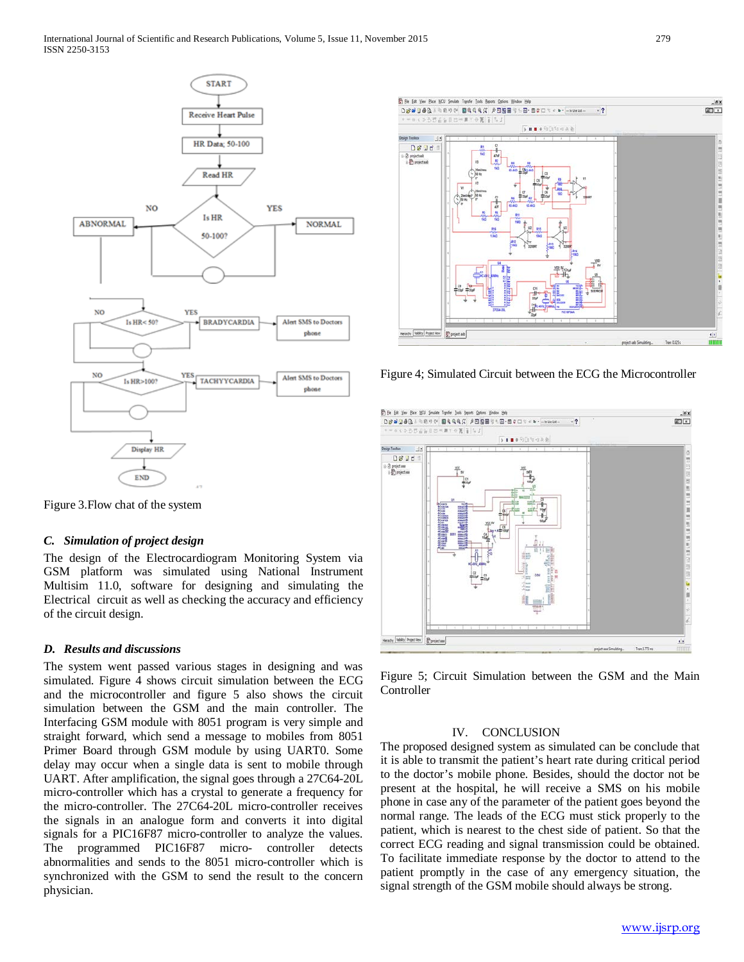

Figure 3.Flow chat of the system

# *C. Simulation of project design*

The design of the Electrocardiogram Monitoring System via GSM platform was simulated using National Instrument Multisim 11.0, software for designing and simulating the Electrical circuit as well as checking the accuracy and efficiency of the circuit design.

# *D. Results and discussions*

The system went passed various stages in designing and was simulated. Figure 4 shows circuit simulation between the ECG and the microcontroller and figure 5 also shows the circuit simulation between the GSM and the main controller. The Interfacing GSM module with 8051 program is very simple and straight forward, which send a message to mobiles from 8051 Primer Board through GSM module by using UART0. Some delay may occur when a single data is sent to mobile through UART. After amplification, the signal goes through a 27C64-20L micro-controller which has a crystal to generate a frequency for the micro-controller. The 27C64-20L micro-controller receives the signals in an analogue form and converts it into digital signals for a PIC16F87 micro-controller to analyze the values.<br>The programmed PIC16F87 micro-controller detects The programmed PIC16F87 microabnormalities and sends to the 8051 micro-controller which is synchronized with the GSM to send the result to the concern physician.



Figure 4; Simulated Circuit between the ECG the Microcontroller



Figure 5; Circuit Simulation between the GSM and the Main **Controller** 

# IV. CONCLUSION

The proposed designed system as simulated can be conclude that it is able to transmit the patient's heart rate during critical period to the doctor's mobile phone. Besides, should the doctor not be present at the hospital, he will receive a SMS on his mobile phone in case any of the parameter of the patient goes beyond the normal range. The leads of the ECG must stick properly to the patient, which is nearest to the chest side of patient. So that the correct ECG reading and signal transmission could be obtained. To facilitate immediate response by the doctor to attend to the patient promptly in the case of any emergency situation, the signal strength of the GSM mobile should always be strong.